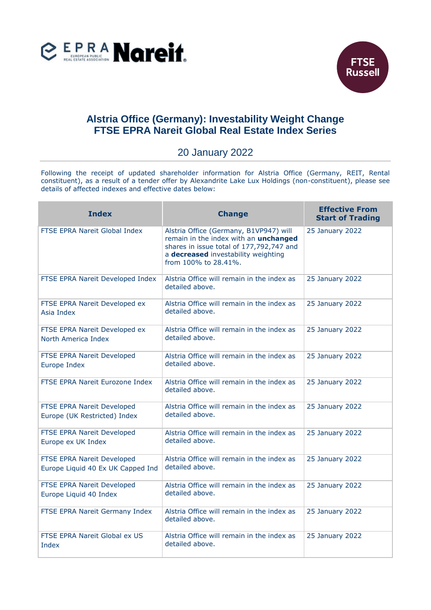



## **Alstria Office (Germany): Investability Weight Change FTSE EPRA Nareit Global Real Estate Index Series**

## 20 January 2022

Following the receipt of updated shareholder information for Alstria Office (Germany, REIT, Rental constituent), as a result of a tender offer by Alexandrite Lake Lux Holdings (non-constituent), please see details of affected indexes and effective dates below:

| <b>Index</b>                                                    | <b>Change</b>                                                                                                                                                                              | <b>Effective From</b><br><b>Start of Trading</b> |
|-----------------------------------------------------------------|--------------------------------------------------------------------------------------------------------------------------------------------------------------------------------------------|--------------------------------------------------|
| FTSE EPRA Nareit Global Index                                   | Alstria Office (Germany, B1VP947) will<br>remain in the index with an unchanged<br>shares in issue total of 177,792,747 and<br>a decreased investability weighting<br>from 100% to 28.41%. | 25 January 2022                                  |
| FTSE EPRA Nareit Developed Index                                | Alstria Office will remain in the index as<br>detailed above.                                                                                                                              | 25 January 2022                                  |
| FTSE EPRA Nareit Developed ex<br>Asia Index                     | Alstria Office will remain in the index as<br>detailed above.                                                                                                                              | 25 January 2022                                  |
| FTSE EPRA Nareit Developed ex<br>North America Index            | Alstria Office will remain in the index as<br>detailed above.                                                                                                                              | 25 January 2022                                  |
| FTSE EPRA Nareit Developed<br>Europe Index                      | Alstria Office will remain in the index as<br>detailed above.                                                                                                                              | 25 January 2022                                  |
| FTSE EPRA Nareit Eurozone Index                                 | Alstria Office will remain in the index as<br>detailed above.                                                                                                                              | 25 January 2022                                  |
| FTSE EPRA Nareit Developed<br>Europe (UK Restricted) Index      | Alstria Office will remain in the index as<br>detailed above.                                                                                                                              | 25 January 2022                                  |
| FTSE EPRA Nareit Developed<br>Europe ex UK Index                | Alstria Office will remain in the index as<br>detailed above.                                                                                                                              | 25 January 2022                                  |
| FTSE EPRA Nareit Developed<br>Europe Liquid 40 Ex UK Capped Ind | Alstria Office will remain in the index as<br>detailed above.                                                                                                                              | 25 January 2022                                  |
| FTSE EPRA Nareit Developed<br>Europe Liquid 40 Index            | Alstria Office will remain in the index as<br>detailed above.                                                                                                                              | 25 January 2022                                  |
| FTSE EPRA Nareit Germany Index                                  | Alstria Office will remain in the index as<br>detailed above.                                                                                                                              | 25 January 2022                                  |
| FTSE EPRA Nareit Global ex US<br>Index                          | Alstria Office will remain in the index as<br>detailed above.                                                                                                                              | 25 January 2022                                  |